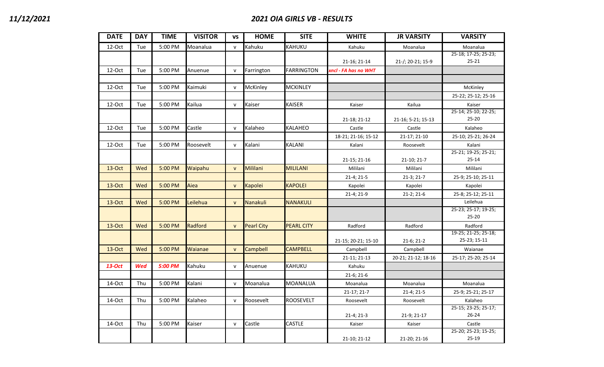| <b>DATE</b> | <b>DAY</b> | <b>TIME</b> | <b>VISITOR</b> | VS           | <b>HOME</b>       | <b>SITE</b>       | <b>WHITE</b>         | <b>JR VARSITY</b>   | <b>VARSITY</b>       |
|-------------|------------|-------------|----------------|--------------|-------------------|-------------------|----------------------|---------------------|----------------------|
| 12-Oct      | Tue        | 5:00 PM     | Moanalua       | $\mathsf{v}$ | Kahuku            | KAHUKU            | Kahuku               | Moanalua            | Moanalua             |
|             |            |             |                |              |                   |                   |                      |                     | 25-18; 17-25; 25-23; |
|             |            |             |                |              |                   |                   | 21-16; 21-14         | 21-/; 20-21; 15-9   | $25 - 21$            |
| 12-Oct      | Tue        | 5:00 PM     | Anuenue        | $\mathsf{v}$ | Farrington        | <b>FARRINGTON</b> | xncl - FA has no WHT |                     |                      |
|             |            |             |                |              |                   |                   |                      |                     |                      |
| 12-Oct      | Tue        | 5:00 PM     | Kaimuki        | ${\sf v}$    | McKinley          | <b>MCKINLEY</b>   |                      |                     | McKinley             |
|             |            |             |                |              |                   |                   |                      |                     | 25-22; 25-12; 25-16  |
| 12-Oct      | Tue        | 5:00 PM     | Kailua         | ${\sf v}$    | Kaiser            | <b>KAISER</b>     | Kaiser               | Kailua              | Kaiser               |
|             |            |             |                |              |                   |                   |                      |                     | 25-14; 25-10; 22-25; |
|             |            |             |                |              |                   |                   | 21-18; 21-12         | 21-16; 5-21; 15-13  | $25 - 20$            |
| 12-Oct      | Tue        | 5:00 PM     | Castle         | $\mathsf{v}$ | Kalaheo           | <b>KALAHEO</b>    | Castle               | Castle              | Kalaheo              |
|             |            |             |                |              |                   |                   | 18-21; 21-16; 15-12  | 21-17; 21-10        | 25-10; 25-21; 26-24  |
| 12-Oct      | Tue        | 5:00 PM     | Roosevelt      | $\mathsf{v}$ | Kalani            | <b>KALANI</b>     | Kalani               | Roosevelt           | Kalani               |
|             |            |             |                |              |                   |                   |                      |                     | 25-21; 19-25; 25-21; |
|             |            |             |                |              |                   |                   | 21-15; 21-16         | 21-10; 21-7         | $25 - 14$            |
| 13-Oct      | Wed        | 5:00 PM     | Waipahu        | $\mathsf{v}$ | <b>Mililani</b>   | <b>MILILANI</b>   | Mililani             | Mililani            | Mililani             |
|             |            |             |                |              |                   |                   | 21-4; 21-5           | 21-3; 21-7          | 25-9; 25-10; 25-11   |
| 13-Oct      | Wed        | 5:00 PM     | Aiea           | $\mathsf{v}$ | <b>Kapolei</b>    | <b>KAPOLEI</b>    | Kapolei              | Kapolei             | Kapolei              |
|             |            |             |                |              |                   |                   | 21-4; 21-9           | $21-2; 21-6$        | 25-8; 25-12; 25-11   |
| 13-Oct      | Wed        | 5:00 PM     | Leilehua       | $\mathsf{v}$ | Nanakuli          | <b>NANAKULI</b>   |                      |                     | Leilehua             |
|             |            |             |                |              |                   |                   |                      |                     | 25-23; 25-17; 19-25; |
|             |            |             |                |              |                   |                   |                      |                     | $25 - 20$            |
| 13-Oct      | Wed        | 5:00 PM     | Radford        | $\mathsf{v}$ | <b>Pearl City</b> | <b>PEARL CITY</b> | Radford              | Radford             | Radford              |
|             |            |             |                |              |                   |                   |                      |                     | 19-25; 21-25; 25-18; |
|             |            |             |                |              |                   |                   | 21-15; 20-21; 15-10  | 21-6; 21-2          | 25-23; 15-11         |
| 13-Oct      | Wed        | 5:00 PM     | Waianae        | $\mathsf{v}$ | Campbell          | <b>CAMPBELL</b>   | Campbell             | Campbell            | Waianae              |
|             |            |             |                |              |                   |                   | 21-11; 21-13         | 20-21; 21-12; 18-16 | 25-17; 25-20; 25-14  |
| 13-Oct      | Wed        | 5:00 PM     | Kahuku         | $\mathsf{v}$ | Anuenue           | KAHUKU            | Kahuku               |                     |                      |
|             |            |             |                |              |                   |                   | $21-6; 21-6$         |                     |                      |
| 14-Oct      | Thu        | 5:00 PM     | Kalani         | $\mathsf{v}$ | Moanalua          | MOANALUA          | Moanalua             | Moanalua            | Moanalua             |
|             |            |             |                |              |                   |                   | 21-17; 21-7          | 21-4; 21-5          | 25-9; 25-21; 25-17   |
| 14-Oct      | Thu        | 5:00 PM     | Kalaheo        | ${\sf v}$    | Roosevelt         | <b>ROOSEVELT</b>  | Roosevelt            | Roosevelt           | Kalaheo              |
|             |            |             |                |              |                   |                   |                      |                     | 25-15; 23-25; 25-17; |
|             |            |             |                |              |                   |                   | 21-4; 21-3           | 21-9; 21-17         | $26 - 24$            |
| 14-Oct      | Thu        | 5:00 PM     | Kaiser         | $\mathsf{v}$ | Castle            | CASTLE            | Kaiser               | Kaiser              | Castle               |
|             |            |             |                |              |                   |                   |                      |                     | 25-20; 25-23; 15-25; |
|             |            |             |                |              |                   |                   | 21-10; 21-12         | 21-20; 21-16        | 25-19                |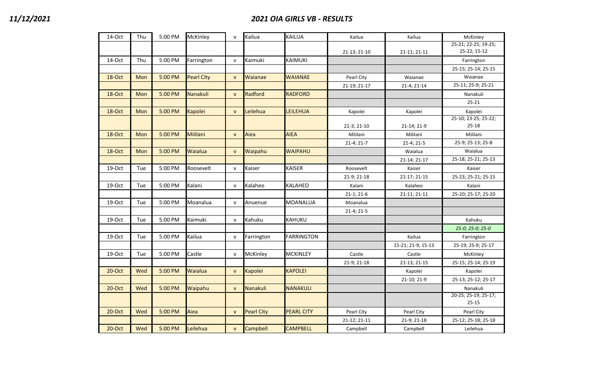| 14-Oct    | Thu | 5:00 PM | McKinley          | $\mathsf{v}$ | Kailua            | <b>KAILUA</b>     | Kailua       | Kailua             | McKinley             |
|-----------|-----|---------|-------------------|--------------|-------------------|-------------------|--------------|--------------------|----------------------|
|           |     |         |                   |              |                   |                   |              |                    | 25-21; 22-25; 19-25; |
|           |     |         |                   |              |                   |                   | 21-13; 21-10 | 21-11; 21-11       | 25-22; 15-12         |
| 14-Oct    | Thu | 5:00 PM | Farrington        | $\mathsf{v}$ | Kaimuki           | <b>KAIMUKI</b>    |              |                    | Farrington           |
|           |     |         |                   |              |                   |                   |              |                    | 25-15; 25-14; 25-15  |
| 18-Oct    | Mon | 5:00 PM | <b>Pearl City</b> | ${\sf v}$    | Waianae           | <b>WAIANAE</b>    | Pearl City   | Waianae            | Waianae              |
|           |     |         |                   |              |                   |                   | 21-19; 21-17 | 21-4; 21-14        | 25-11; 25-9; 25-21   |
| 18-Oct    | Mon | 5:00 PM | Nanakuli          | $\mathsf{v}$ | Radford           | <b>RADFORD</b>    |              |                    | Nanakuli             |
|           |     |         |                   |              |                   |                   |              |                    | $25 - 21$            |
| 18-Oct    | Mon | 5:00 PM | <b>Kapolei</b>    | $\mathsf{v}$ | Leilehua          | LEILEHUA          | Kapolei      | Kapolei            | Kapolei              |
|           |     |         |                   |              |                   |                   |              |                    | 25-10; 23-25; 25-22; |
|           |     |         |                   |              |                   |                   | 21-3; 21-10  | 21-14; 21-9        | $25 - 18$            |
| 18-Oct    | Mon | 5:00 PM | Mililani          | $\mathsf{v}$ | Aiea              | <b>AIEA</b>       | Mililani     | Mililani           | Mililani             |
|           |     |         |                   |              |                   |                   | $21-4; 21-7$ | 21-4; 21-5         | 25-9; 25-13; 25-8    |
| 18-Oct    | Mon | 5:00 PM | Waialua           | $\mathsf{v}$ | Waipahu           | <b>WAIPAHU</b>    |              | Waialua            | Waialua              |
|           |     |         |                   |              |                   |                   |              | 21-14; 21-17       | 25-18; 25-21; 25-13  |
| 19-Oct    | Tue | 5:00 PM | Roosevelt         | ${\sf v}$    | Kaiser            | <b>KAISER</b>     | Roosevelt    | Kaiser             | Kaiser               |
|           |     |         |                   |              |                   |                   | 21-9; 21-18  | 21-17; 21-15       | 25-23; 25-21; 25-15  |
| $19$ -Oct | Tue | 5:00 PM | Kalani            | $\mathsf{v}$ | Kalaheo           | <b>KALAHEO</b>    | Kalani       | Kalaheo            | Kalani               |
|           |     |         |                   |              |                   |                   | $21-1; 21-6$ | 21-11; 21-11       | 25-20; 25-17; 25-20  |
| $19$ -Oct | Tue | 5:00 PM | Moanalua          | ${\sf v}$    | Anuenue           | <b>MOANALUA</b>   | Moanalua     |                    |                      |
|           |     |         |                   |              |                   |                   | 21-4; 21-5   |                    |                      |
| $19$ -Oct | Tue | 5:00 PM | Kaimuki           | $\mathsf{v}$ | Kahuku            | KAHUKU            |              |                    | Kahuku               |
|           |     |         |                   |              |                   |                   |              |                    | 25-0; 25-0; 25-0     |
| 19-Oct    | Tue | 5:00 PM | Kailua            | ${\sf v}$    | Farrington        | <b>FARRINGTON</b> |              | Kailua             | Farrington           |
|           |     |         |                   |              |                   |                   |              | 15-21; 21-9; 15-13 | 25-19; 25-9; 25-17   |
| 19-Oct    | Tue | 5:00 PM | Castle            | $\mathsf{v}$ | McKinley          | <b>MCKINLEY</b>   | Castle       | Castle             | McKinley             |
|           |     |         |                   |              |                   |                   | 21-9; 21-18  | 21-13; 21-15       | 25-15; 25-14; 25-19  |
| $20$ -Oct | Wed | 5:00 PM | Waialua           | ${\sf v}$    | Kapolei           | <b>KAPOLEI</b>    |              | Kapolei            | Kapolei              |
|           |     |         |                   |              |                   |                   |              | 21-10; 21-9        | 25-13; 25-12; 25-17  |
| $20$ -Oct | Wed | 5:00 PM | Waipahu           | $\mathsf{v}$ | Nanakuli          | <b>NANAKULI</b>   |              |                    | Nanakuli             |
|           |     |         |                   |              |                   |                   |              |                    | 20-25; 25-19; 25-17; |
|           |     |         |                   |              |                   |                   |              |                    | $25 - 15$            |
| $20$ -Oct | Wed | 5:00 PM | Aiea              | ${\sf v}$    | <b>Pearl City</b> | <b>PEARL CITY</b> | Pearl City   | Pearl City         | Pearl City           |
|           |     |         |                   |              |                   |                   | 21-12; 21-11 | 21-9; 21-18        | 25-12; 25-18; 25-18  |
| $20$ -Oct | Wed | 5:00 PM | Leilehua          | $\mathsf{v}$ | <b>Campbell</b>   | <b>CAMPBELL</b>   | Campbell     | Campbell           | Leilehua             |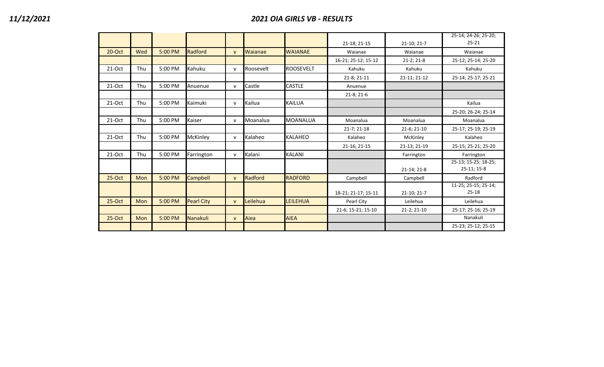|           |            |         |                   |              |           |                  |                     |              | 25-14; 24-26; 25-20;                |
|-----------|------------|---------|-------------------|--------------|-----------|------------------|---------------------|--------------|-------------------------------------|
|           |            |         |                   |              |           |                  | 21-18; 21-15        | 21-10; 21-7  | $25 - 21$                           |
| $20$ -Oct | Wed        | 5:00 PM | Radford           | $\mathsf{V}$ | Waianae   | <b>WAIANAE</b>   | Waianae             | Waianae      | Waianae                             |
|           |            |         |                   |              |           |                  | 16-21; 25-12; 15-12 | $21-2; 21-8$ | 25-12; 25-14; 25-20                 |
| $21-Oct$  | Thu        | 5:00 PM | Kahuku            | $\mathsf{v}$ | Roosevelt | <b>ROOSEVELT</b> | Kahuku              | Kahuku       | Kahuku                              |
|           |            |         |                   |              |           |                  | 21-8; 21-11         | 21-11; 21-12 | 25-14; 25-17; 25-21                 |
| $21-Oct$  | Thu        | 5:00 PM | Anuenue           | $\mathsf{v}$ | Castle    | <b>CASTLE</b>    | Anuenue             |              |                                     |
|           |            |         |                   |              |           |                  | $21-8; 21-6$        |              |                                     |
| 21-Oct    | Thu        | 5:00 PM | Kaimuki           | $\mathsf{v}$ | Kailua    | <b>KAILUA</b>    |                     |              | Kailua                              |
|           |            |         |                   |              |           |                  |                     |              | 25-20; 26-24; 25-14                 |
| $21-Oct$  | Thu        | 5:00 PM | Kaiser            | v            | Moanalua  | <b>MOANALUA</b>  | Moanalua            | Moanalua     | Moanalua                            |
|           |            |         |                   |              |           |                  | 21-7; 21-18         | 21-6; 21-10  | 25-17; 25-19; 25-19                 |
| $21-Oct$  | Thu        | 5:00 PM | McKinley          | $\mathsf{v}$ | Kalaheo   | <b>KALAHEO</b>   | Kalaheo             | McKinley     | Kalaheo                             |
|           |            |         |                   |              |           |                  | 21-16; 21-15        | 21-13; 21-19 | 25-15; 25-21; 25-20                 |
| $21-Oct$  | Thu        | 5:00 PM | Farrington        | $\mathsf{v}$ | Kalani    | <b>KALANI</b>    |                     | Farrington   | Farrington                          |
|           |            |         |                   |              |           |                  |                     | 21-14; 21-8  | 25-13; 15-25; 18-25;<br>25-11; 15-8 |
| $25-Oct$  | <b>Mon</b> | 5:00 PM | <b>Campbell</b>   | $\mathbf{v}$ | Radford   | <b>RADFORD</b>   | Campbell            | Campbell     | Radford                             |
|           |            |         |                   |              |           |                  | 18-21; 21-17; 15-11 | 21-10; 21-7  | 11-25; 25-15; 25-14;<br>$25 - 18$   |
| $25-Oct$  | Mon        | 5:00 PM | <b>Pearl City</b> | $\mathsf{v}$ | Leilehua  | <b>LEILEHUA</b>  | Pearl City          | Leilehua     | Leilehua                            |
|           |            |         |                   |              |           |                  | 21-6; 15-21; 15-10  | 21-2; 21-10  | 25-17; 25-16; 25-19                 |
| $25-Oct$  | <b>Mon</b> | 5:00 PM | Nanakuli          | $\mathsf{v}$ | Aiea      | <b>AIEA</b>      |                     |              | Nanakuli                            |
|           |            |         |                   |              |           |                  |                     |              | 25-23; 25-12; 25-15                 |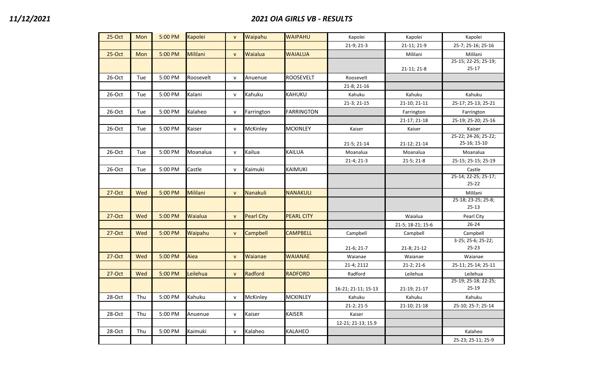| $25-Oct$  | Mon | 5:00 PM | Kapolei   | $\mathsf{v}$ | Waipahu           | <b>WAIPAHU</b>    | Kapolei             | Kapolei           | Kapolei                           |
|-----------|-----|---------|-----------|--------------|-------------------|-------------------|---------------------|-------------------|-----------------------------------|
|           |     |         |           |              |                   |                   | 21-9; 21-3          | 21-11; 21-9       | 25-7; 25-16; 25-16                |
| $25-Oct$  | Mon | 5:00 PM | Mililani  | $\mathsf{v}$ | Waialua           | <b>WAIALUA</b>    |                     | Mililani          | Mililani                          |
|           |     |         |           |              |                   |                   |                     | 21-11; 21-8       | 25-15; 22-25; 25-19;<br>$25 - 17$ |
| 26-Oct    | Tue | 5:00 PM | Roosevelt | $\mathsf{v}$ | Anuenue           | ROOSEVELT         | Roosevelt           |                   |                                   |
|           |     |         |           |              |                   |                   | 21-8; 21-16         |                   |                                   |
| 26-Oct    | Tue | 5:00 PM | Kalani    | $\mathsf{v}$ | Kahuku            | KAHUKU            | Kahuku              | Kahuku            | Kahuku                            |
|           |     |         |           |              |                   |                   | 21-3; 21-15         | 21-10; 21-11      | 25-17; 25-13; 25-21               |
| 26-Oct    | Tue | 5:00 PM | Kalaheo   | ${\sf V}$    | Farrington        | <b>FARRINGTON</b> |                     | Farrington        | Farrington                        |
|           |     |         |           |              |                   |                   |                     | 21-17; 21-18      | 25-19; 25-20; 25-16               |
| 26-Oct    | Tue | 5:00 PM | Kaiser    | ${\sf v}$    | McKinley          | <b>MCKINLEY</b>   | Kaiser              | Kaiser            | Kaiser                            |
|           |     |         |           |              |                   |                   |                     |                   | 25-22; 24-26; 25-22;              |
|           |     |         |           |              |                   |                   | 21-5; 21-14         | 21-12; 21-14      | 25-16; 15-10                      |
| 26-Oct    | Tue | 5:00 PM | Moanalua  | $\mathsf{v}$ | Kailua            | <b>KAILUA</b>     | Moanalua            | Moanalua          | Moanalua                          |
|           |     |         |           |              |                   |                   | 21-4; 21-3          | $21-5; 21-8$      | 25-15; 25-15; 25-19               |
| 26-Oct    | Tue | 5:00 PM | Castle    | $\mathsf{v}$ | Kaimuki           | <b>KAIMUKI</b>    |                     |                   | Castle                            |
|           |     |         |           |              |                   |                   |                     |                   | 25-14; 22-25; 25-17;              |
|           |     |         |           |              |                   |                   |                     |                   | $25 - 22$                         |
| 27-Oct    | Wed | 5:00 PM | Mililani  | $\mathsf{v}$ | <b>Nanakuli</b>   | <b>NANAKULI</b>   |                     |                   | Mililani                          |
|           |     |         |           |              |                   |                   |                     |                   | 25-18; 23-25; 25-8;<br>$25 - 13$  |
| $27$ -Oct | Wed | 5:00 PM | Waialua   | $\mathsf{v}$ | <b>Pearl City</b> | <b>PEARL CITY</b> |                     | Waialua           | Pearl City                        |
|           |     |         |           |              |                   |                   |                     | 21-5; 18-21; 15-6 | $26 - 24$                         |
| 27-Oct    | Wed | 5:00 PM | Waipahu   | $\mathsf{v}$ | Campbell          | <b>CAMPBELL</b>   | Campbell            | Campbell          | Campbell                          |
|           |     |         |           |              |                   |                   |                     |                   | 3-25; 25-6; 25-22;                |
|           |     |         |           |              |                   |                   | $21-6; 21-7$        | 21-8; 21-12       | $25 - 23$                         |
| 27-Oct    | Wed | 5:00 PM | Aiea      | $\mathsf{v}$ | Waianae           | <b>WAIANAE</b>    | Waianae             | Waianae           | Waianae                           |
|           |     |         |           |              |                   |                   | 21-4; 2112          | $21-2; 21-6$      | 25-11; 25-14; 25-11               |
| 27-Oct    | Wed | 5:00 PM | Leilehua  | $\mathsf{v}$ | Radford           | <b>RADFORD</b>    | Radford             | Leilehua          | Leilehua                          |
|           |     |         |           |              |                   |                   |                     |                   | 25-19; 25-18; 22-25;              |
|           |     |         |           |              |                   |                   | 16-21; 21-11; 15-13 | 21-19; 21-17      | $25-19$                           |
| 28-Oct    | Thu | 5:00 PM | Kahuku    | ${\sf v}$    | McKinley          | <b>MCKINLEY</b>   | Kahuku              | Kahuku            | Kahuku                            |
|           |     |         |           |              |                   |                   | 21-2; 21-5          | 21-10; 21-18      | 25-10; 25-7; 25-14                |
| 28-Oct    | Thu | 5:00 PM | Anuenue   | $\mathsf{v}$ | Kaiser            | <b>KAISER</b>     | Kaiser              |                   |                                   |
|           |     |         |           |              |                   |                   | 12-21; 21-13; 15.9  |                   |                                   |
| 28-Oct    | Thu | 5:00 PM | Kaimuki   | ${\sf v}$    | Kalaheo           | KALAHEO           |                     |                   | Kalaheo                           |
|           |     |         |           |              |                   |                   |                     |                   | 25-23; 25-11; 25-9                |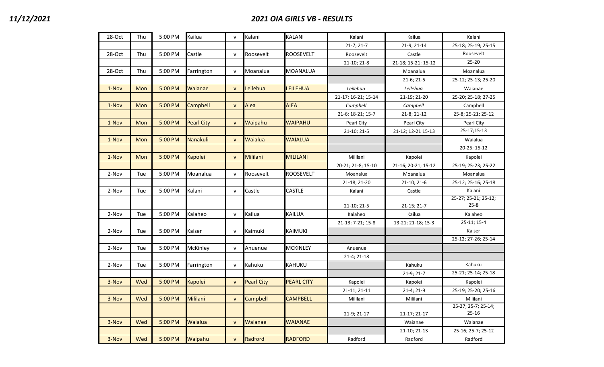## *11/12/2021 2021 OIA GIRLS VB - RESULTS*

| 28-Oct | Thu | 5:00 PM | Kailua            | $\mathsf{v}$ | Kalani            | KALANI            | Kalani              | Kailua              | Kalani                           |
|--------|-----|---------|-------------------|--------------|-------------------|-------------------|---------------------|---------------------|----------------------------------|
|        |     |         |                   |              |                   |                   | $21-7; 21-7$        | 21-9; 21-14         | 25-18; 25-19; 25-15              |
| 28-Oct | Thu | 5:00 PM | Castle            | $\mathsf{v}$ | Roosevelt         | <b>ROOSEVELT</b>  | Roosevelt           | Castle              | Roosevelt                        |
|        |     |         |                   |              |                   |                   | 21-10; 21-8         | 21-18; 15-21; 15-12 | $25 - 20$                        |
| 28-Oct | Thu | 5:00 PM | Farrington        | $\mathsf{v}$ | Moanalua          | MOANALUA          |                     | Moanalua            | Moanalua                         |
|        |     |         |                   |              |                   |                   |                     | 21-6; 21-5          | 25-12; 25-13; 25-20              |
| 1-Nov  | Mon | 5:00 PM | Waianae           | $\mathsf{v}$ | Leilehua          | LEILEHUA          | Leilehua            | Leilehua            | Waianae                          |
|        |     |         |                   |              |                   |                   | 21-17; 16-21; 15-14 | 21-19; 21-20        | 25-20; 25-18; 27-25              |
| 1-Nov  | Mon | 5:00 PM | Campbell          | $\mathsf{v}$ | Aiea              | <b>AIEA</b>       | Campbell            | Campbell            | Campbell                         |
|        |     |         |                   |              |                   |                   | 21-6; 18-21; 15-7   | 21-8; 21-12         | 25-8; 25-21; 25-12               |
| 1-Nov  | Mon | 5:00 PM | <b>Pearl City</b> | $\mathsf{v}$ | Waipahu           | <b>WAIPAHU</b>    | Pearl City          | Pearl City          | Pearl City                       |
|        |     |         |                   |              |                   |                   | 21-10; 21-5         | 21-12; 12-21 15-13  | 25-17;15-13                      |
| 1-Nov  | Mon | 5:00 PM | Nanakuli          | $\mathsf{V}$ | Waialua           | <b>WAIALUA</b>    |                     |                     | Waialua                          |
|        |     |         |                   |              |                   |                   |                     |                     | 20-25; 15-12                     |
| 1-Nov  | Mon | 5:00 PM | <b>Kapolei</b>    | $\mathsf{v}$ | Mililani          | <b>MILILANI</b>   | Mililani            | Kapolei             | Kapolei                          |
|        |     |         |                   |              |                   |                   | 20-21; 21-8; 15-10  | 21-16; 20-21; 15-12 | 25-19; 25-23; 25-22              |
| 2-Nov  | Tue | 5:00 PM | Moanalua          | $\mathsf{v}$ | Roosevelt         | <b>ROOSEVELT</b>  | Moanalua            | Moanalua            | Moanalua                         |
|        |     |         |                   |              |                   |                   | 21-18; 21-20        | 21-10; 21-6         | 25-12; 25-16; 25-18              |
| 2-Nov  | Tue | 5:00 PM | Kalani            | $\mathsf{v}$ | Castle            | <b>CASTLE</b>     | Kalani              | Castle              | Kalani                           |
|        |     |         |                   |              |                   |                   |                     |                     | 25-27; 25-21; 25-12;             |
|        |     |         |                   |              |                   |                   | 21-10; 21-5         | 21-15; 21-7         | $25 - 8$                         |
| 2-Nov  | Tue | 5:00 PM | Kalaheo           | $\mathsf{v}$ | Kailua            | KAILUA            | Kalaheo             | Kailua              | Kalaheo                          |
|        |     |         |                   |              |                   |                   | 21-13; 7-21; 15-8   | 13-21; 21-18; 15-3  | 25-11; 15-4                      |
| 2-Nov  | Tue | 5:00 PM | Kaiser            | $\mathsf{v}$ | Kaimuki           | <b>KAIMUKI</b>    |                     |                     | Kaiser                           |
|        |     |         |                   |              |                   |                   |                     |                     | 25-12; 27-26; 25-14              |
| 2-Nov  | Tue | 5:00 PM | McKinley          | $\mathsf{v}$ | Anuenue           | <b>MCKINLEY</b>   | Anuenue             |                     |                                  |
|        |     |         |                   |              |                   |                   | 21-4; 21-18         |                     |                                  |
| 2-Nov  | Tue | 5:00 PM | Farrington        | $\mathsf{v}$ | Kahuku            | KAHUKU            |                     | Kahuku              | Kahuku                           |
|        |     |         |                   |              |                   |                   |                     | 21-9; 21-7          | 25-21; 25-14; 25-18              |
| 3-Nov  | Wed | 5:00 PM | Kapolei           | $\mathsf{v}$ | <b>Pearl City</b> | <b>PEARL CITY</b> | Kapolei             | Kapolei             | Kapolei                          |
|        |     |         |                   |              |                   |                   | 21-11; 21-11        | 21-4; 21-9          | 25-19; 25-20; 25-16              |
| 3-Nov  | Wed | 5:00 PM | Mililani          | $\mathsf{v}$ | Campbell          | <b>CAMPBELL</b>   | Mililani            | Mililani            | Mililani                         |
|        |     |         |                   |              |                   |                   |                     |                     | 25-27; 25-7; 25-14;<br>$25 - 16$ |
|        |     |         | Waialua           |              | Waianae           |                   | 21-9; 21-17         | 21-17; 21-17        |                                  |
| 3-Nov  | Wed | 5:00 PM |                   | $\mathsf{V}$ |                   | <b>WAIANAE</b>    |                     | Waianae             | Waianae                          |
|        |     |         |                   |              |                   |                   |                     | 21-10; 21-13        | 25-16; 25-7; 25-12               |
| 3-Nov  | Wed | 5:00 PM | Waipahu           | $\mathsf{v}$ | Radford           | <b>RADFORD</b>    | Radford             | Radford             | Radford                          |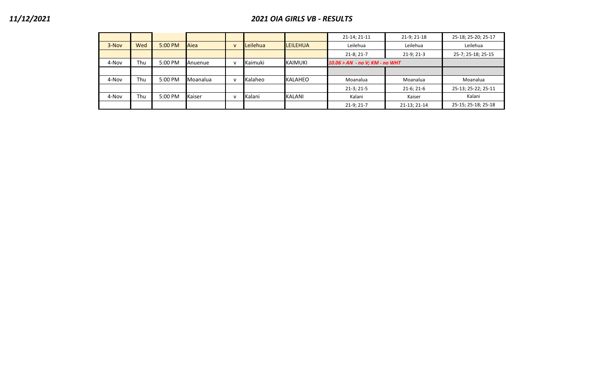## *11/12/2021 2021 OIA GIRLS VB - RESULTS*

|       |     |         |                 |              |          |                 | 21-14; 21-11                   | 21-9; 21-18  | 25-18; 25-20; 25-17 |
|-------|-----|---------|-----------------|--------------|----------|-----------------|--------------------------------|--------------|---------------------|
| 3-Nov | Wed | 5:00 PM | Aiea            | $\mathsf{v}$ | Leilehua | <b>LEILEHUA</b> | Leilehua                       | Leilehua     | Leilehua            |
|       |     |         |                 |              |          |                 | $21-8; 21-7$                   | $21-9; 21-3$ | 25-7; 25-18; 25-15  |
| 4-Nov | Thu | 5:00 PM | Anuenue         |              | Kaimuki  | <b>KAIMUKI</b>  | 10.06 > AN - no V; KM - no WHT |              |                     |
|       |     |         |                 |              |          |                 |                                |              |                     |
| 4-Nov | Thu | 5:00 PM | <b>Moanalua</b> | v            | Kalaheo  | KALAHEO         | Moanalua                       | Moanalua     | Moanalua            |
|       |     |         |                 |              |          |                 | $21-3; 21-5$                   | $21-6; 21-6$ | 25-13; 25-22; 25-11 |
| 4-Nov | Thu | 5:00 PM | Kaiser          |              | Kalani   | KALANI          | Kalani                         | Kaiser       | Kalani              |
|       |     |         |                 |              |          |                 | $21-9; 21-7$                   | 21-13; 21-14 | 25-15; 25-18; 25-18 |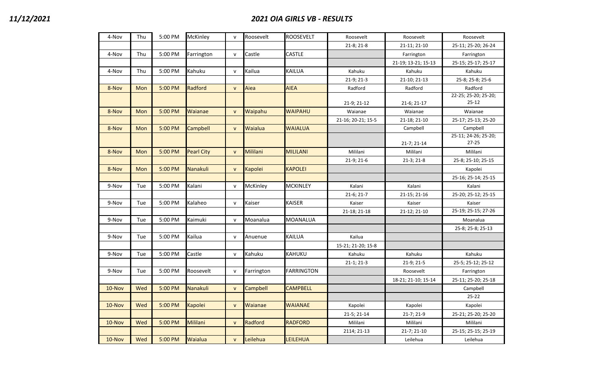| 4-Nov     | Thu | 5:00 PM | McKinley          | $\mathsf{v}$ | Roosevelt      | <b>ROOSEVELT</b>  | Roosevelt          | Roosevelt           | Roosevelt            |
|-----------|-----|---------|-------------------|--------------|----------------|-------------------|--------------------|---------------------|----------------------|
|           |     |         |                   |              |                |                   | 21-8; 21-8         | 21-11; 21-10        | 25-11; 25-20; 26-24  |
| 4-Nov     | Thu | 5:00 PM | Farrington        | ${\sf v}$    | Castle         | CASTLE            |                    | Farrington          | Farrington           |
|           |     |         |                   |              |                |                   |                    | 21-19; 13-21; 15-13 | 25-15; 25-17; 25-17  |
| 4-Nov     | Thu | 5:00 PM | Kahuku            | ${\sf v}$    | Kailua         | KAILUA            | Kahuku             | Kahuku              | Kahuku               |
|           |     |         |                   |              |                |                   | 21-9; 21-3         | 21-10; 21-13        | 25-8; 25-8; 25-6     |
| 8-Nov     | Mon | 5:00 PM | Radford           | $\mathsf{V}$ | Aiea           | <b>AIEA</b>       | Radford            | Radford             | Radford              |
|           |     |         |                   |              |                |                   |                    |                     | 22-25; 25-20; 25-20; |
|           |     |         |                   |              |                |                   | 21-9; 21-12        | 21-6; 21-17         | $25 - 12$            |
| 8-Nov     | Mon | 5:00 PM | Waianae           | $\mathsf{V}$ | Waipahu        | <b>WAIPAHU</b>    | Waianae            | Waianae             | Waianae              |
|           |     |         |                   |              |                |                   | 21-16; 20-21; 15-5 | 21-18; 21-10        | 25-17; 25-13; 25-20  |
| 8-Nov     | Mon | 5:00 PM | Campbell          | $\mathsf{v}$ | Waialua        | <b>WAIALUA</b>    |                    | Campbell            | Campbell             |
|           |     |         |                   |              |                |                   |                    |                     | 25-11; 24-26; 25-20; |
|           |     |         |                   |              |                |                   |                    | 21-7; 21-14         | $27 - 25$            |
| 8-Nov     | Mon | 5:00 PM | <b>Pearl City</b> | ${\sf v}$    | Mililani       | <b>MILILANI</b>   | Mililani           | Mililani            | Mililani             |
|           |     |         |                   |              |                |                   | 21-9; 21-6         | $21-3; 21-8$        | 25-8; 25-10; 25-15   |
| 8-Nov     | Mon | 5:00 PM | Nanakuli          | $\mathsf{v}$ | <b>Kapolei</b> | <b>KAPOLEI</b>    |                    |                     | Kapolei              |
|           |     |         |                   |              |                |                   |                    |                     | 25-16; 25-14; 25-15  |
| 9-Nov     | Tue | 5:00 PM | Kalani            | ${\sf v}$    | McKinley       | <b>MCKINLEY</b>   | Kalani             | Kalani              | Kalani               |
|           |     |         |                   |              |                |                   | $21-6; 21-7$       | 21-15; 21-16        | 25-20; 25-12; 25-15  |
| 9-Nov     | Tue | 5:00 PM | Kalaheo           | $\mathsf{v}$ | Kaiser         | <b>KAISER</b>     | Kaiser             | Kaiser              | Kaiser               |
|           |     |         |                   |              |                |                   | 21-18; 21-18       | 21-12; 21-10        | 25-19; 25-15; 27-26  |
| 9-Nov     | Tue | 5:00 PM | Kaimuki           | $\mathsf{v}$ | Moanalua       | <b>MOANALUA</b>   |                    |                     | Moanalua             |
|           |     |         |                   |              |                |                   |                    |                     | 25-8; 25-8; 25-13    |
| 9-Nov     | Tue | 5:00 PM | Kailua            | $\mathsf{v}$ | Anuenue        | <b>KAILUA</b>     | Kailua             |                     |                      |
|           |     |         |                   |              |                |                   | 15-21; 21-20; 15-8 |                     |                      |
| 9-Nov     | Tue | 5:00 PM | Castle            | $\mathsf{v}$ | Kahuku         | <b>KAHUKU</b>     | Kahuku             | Kahuku              | Kahuku               |
|           |     |         |                   |              |                |                   | $21-1; 21-3$       | 21-9; 21-5          | 25-5; 25-12; 25-12   |
| 9-Nov     | Tue | 5:00 PM | Roosevelt         | $\mathsf{v}$ | Farrington     | <b>FARRINGTON</b> |                    | Roosevelt           | Farrington           |
|           |     |         |                   |              |                |                   |                    | 18-21; 21-10; 15-14 | 25-11; 25-20; 25-18  |
| 10-Nov    | Wed | 5:00 PM | Nanakuli          | $\mathsf{v}$ | Campbell       | <b>CAMPBELL</b>   |                    |                     | Campbell             |
|           |     |         |                   |              |                |                   |                    |                     | $25 - 22$            |
| 10-Nov    | Wed | 5:00 PM | <b>Kapolei</b>    | ${\sf v}$    | Waianae        | <b>WAIANAE</b>    | Kapolei            | Kapolei             | Kapolei              |
|           |     |         |                   |              |                |                   | 21-5; 21-14        | 21-7; 21-9          | 25-21; 25-20; 25-20  |
| $10$ -Nov | Wed | 5:00 PM | Mililani          | ${\sf v}$    | Radford        | <b>RADFORD</b>    | Mililani           | Mililani            | Mililani             |
|           |     |         |                   |              |                |                   | 2114; 21-13        | 21-7; 21-10         | 25-15; 25-15; 25-19  |
| 10-Nov    | Wed | 5:00 PM | Waialua           | $\mathsf{V}$ | Leilehua       | <b>LEILEHUA</b>   |                    | Leilehua            | Leilehua             |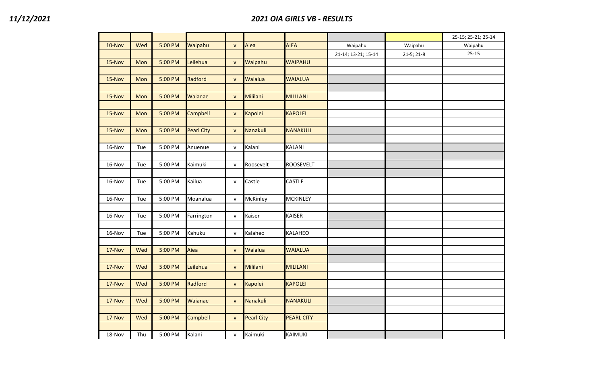|        |     |         |                   |              |                   |                   |                     |              | 25-15; 25-21; 25-14 |
|--------|-----|---------|-------------------|--------------|-------------------|-------------------|---------------------|--------------|---------------------|
| 10-Nov | Wed | 5:00 PM | Waipahu           | $\mathsf{v}$ | Aiea              | <b>AIEA</b>       | Waipahu             | Waipahu      | Waipahu             |
|        |     |         |                   |              |                   |                   | 21-14; 13-21; 15-14 | $21-5; 21-8$ | $25 - 15$           |
| 15-Nov | Mon | 5:00 PM | Leilehua          | $\mathsf{v}$ | Waipahu           | <b>WAIPAHU</b>    |                     |              |                     |
|        |     |         |                   |              |                   |                   |                     |              |                     |
| 15-Nov | Mon | 5:00 PM | Radford           | $\mathsf{v}$ | Waialua           | <b>WAIALUA</b>    |                     |              |                     |
|        |     |         |                   |              |                   |                   |                     |              |                     |
| 15-Nov | Mon | 5:00 PM | Waianae           | $\mathsf{v}$ | Mililani          | <b>MILILANI</b>   |                     |              |                     |
|        |     |         |                   |              |                   |                   |                     |              |                     |
| 15-Nov | Mon | 5:00 PM | <b>Campbell</b>   | $\mathsf{V}$ | Kapolei           | <b>KAPOLEI</b>    |                     |              |                     |
|        |     |         |                   |              |                   |                   |                     |              |                     |
| 15-Nov | Mon | 5:00 PM | <b>Pearl City</b> | $\mathsf{v}$ | Nanakuli          | <b>NANAKULI</b>   |                     |              |                     |
|        |     |         |                   |              |                   |                   |                     |              |                     |
| 16-Nov | Tue | 5:00 PM | Anuenue           | V            | Kalani            | KALANI            |                     |              |                     |
|        |     |         |                   |              |                   |                   |                     |              |                     |
| 16-Nov | Tue | 5:00 PM | Kaimuki           | $\mathsf{v}$ | Roosevelt         | <b>ROOSEVELT</b>  |                     |              |                     |
|        |     |         |                   |              |                   |                   |                     |              |                     |
| 16-Nov | Tue | 5:00 PM | Kailua            | v            | Castle            | CASTLE            |                     |              |                     |
|        |     |         |                   |              |                   |                   |                     |              |                     |
| 16-Nov | Tue | 5:00 PM | Moanalua          | $\mathsf{v}$ | McKinley          | <b>MCKINLEY</b>   |                     |              |                     |
|        |     |         |                   |              |                   |                   |                     |              |                     |
| 16-Nov | Tue | 5:00 PM | Farrington        | $\mathsf{v}$ | Kaiser            | <b>KAISER</b>     |                     |              |                     |
|        |     |         |                   |              |                   |                   |                     |              |                     |
| 16-Nov | Tue | 5:00 PM | Kahuku            | $\mathsf{v}$ | Kalaheo           | <b>KALAHEO</b>    |                     |              |                     |
|        |     |         |                   |              |                   |                   |                     |              |                     |
| 17-Nov | Wed | 5:00 PM | Aiea              | $\mathsf{v}$ | Waialua           | <b>WAIALUA</b>    |                     |              |                     |
|        |     |         |                   |              |                   |                   |                     |              |                     |
| 17-Nov | Wed | 5:00 PM | Leilehua          | $\mathsf{v}$ | Mililani          | <b>MILILANI</b>   |                     |              |                     |
|        |     |         |                   |              |                   |                   |                     |              |                     |
| 17-Nov | Wed | 5:00 PM | Radford           | $\mathsf{V}$ | Kapolei           | <b>KAPOLEI</b>    |                     |              |                     |
|        |     |         |                   |              |                   |                   |                     |              |                     |
| 17-Nov | Wed | 5:00 PM | Waianae           | $\mathsf{v}$ | Nanakuli          | <b>NANAKULI</b>   |                     |              |                     |
|        |     |         |                   |              |                   |                   |                     |              |                     |
| 17-Nov | Wed | 5:00 PM | <b>Campbell</b>   | $\mathsf{V}$ | <b>Pearl City</b> | <b>PEARL CITY</b> |                     |              |                     |
|        |     |         |                   |              |                   |                   |                     |              |                     |
| 18-Nov | Thu | 5:00 PM | Kalani            | $\mathsf{v}$ | Kaimuki           | KAIMUKI           |                     |              |                     |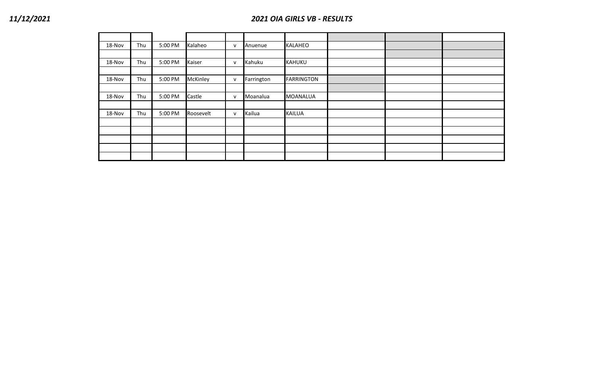| 18-Nov | Thu | 5:00 PM | Kalaheo         | $\mathsf{v}$ | Anuenue    | <b>KALAHEO</b>    |  |  |
|--------|-----|---------|-----------------|--------------|------------|-------------------|--|--|
|        |     |         |                 |              |            |                   |  |  |
| 18-Nov | Thu | 5:00 PM | Kaiser          | $\mathsf{v}$ | Kahuku     | <b>KAHUKU</b>     |  |  |
|        |     |         |                 |              |            |                   |  |  |
| 18-Nov | Thu | 5:00 PM | <b>McKinley</b> | $\mathsf{v}$ | Farrington | <b>FARRINGTON</b> |  |  |
|        |     |         |                 |              |            |                   |  |  |
| 18-Nov | Thu | 5:00 PM | Castle          | $\mathsf{v}$ | Moanalua   | <b>MOANALUA</b>   |  |  |
|        |     |         |                 |              |            |                   |  |  |
| 18-Nov | Thu | 5:00 PM | Roosevelt       | $\mathsf{v}$ | Kailua     | <b>KAILUA</b>     |  |  |
|        |     |         |                 |              |            |                   |  |  |
|        |     |         |                 |              |            |                   |  |  |
|        |     |         |                 |              |            |                   |  |  |
|        |     |         |                 |              |            |                   |  |  |
|        |     |         |                 |              |            |                   |  |  |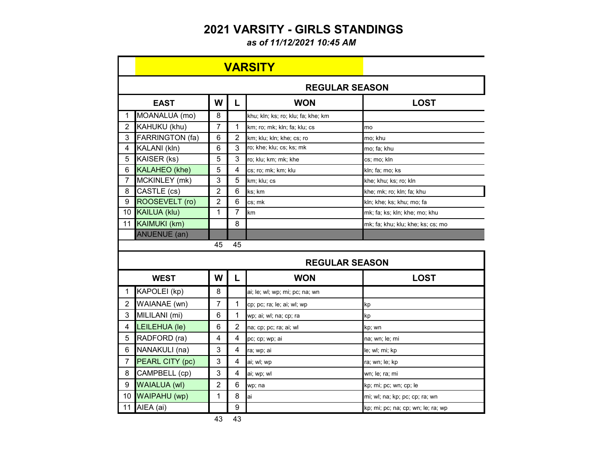# **2021 VARSITY - GIRLS STANDINGS**

*as of 11/12/2021 10:45 AM*

|                |                      |                |                | <b>VARSITY</b>                     |                                   |
|----------------|----------------------|----------------|----------------|------------------------------------|-----------------------------------|
|                |                      |                |                | <b>REGULAR SEASON</b>              |                                   |
|                | <b>EAST</b>          | W              | L              | <b>WON</b>                         | <b>LOST</b>                       |
| 1              | MOANALUA (mo)        | 8              |                | khu; kln; ks; ro; klu; fa; khe; km |                                   |
| $\overline{2}$ | KAHUKU (khu)         | $\overline{7}$ | 1              | km; ro; mk; kln; fa; klu; cs       | mo                                |
| 3              | FARRINGTON (fa)      | 6              | $\overline{2}$ | km; klu; kln; khe; cs; ro          | mo; khu                           |
| 4              | KALANI (kln)         | 6              | 3              | ro; khe; klu; cs; ks; mk           | mo; fa; khu                       |
| 5              | KAISER (ks)          | 5              | 3              | ro; klu; km; mk; khe               | cs; mo; kln                       |
| 6              | <b>KALAHEO</b> (khe) | 5              | 4              | cs; ro; mk; km; klu                | kln; fa; mo; ks                   |
| $\overline{7}$ | MCKINLEY (mk)        | 3              | 5              | km; klu; cs                        | khe; khu; ks; ro; kln             |
| 8              | CASTLE (cs)          | $\overline{2}$ | 6              | ks; km                             | khe; mk; ro; kln; fa; khu         |
| 9              | ROOSEVELT (ro)       | $\overline{2}$ | 6              | cs: mk                             | kln; khe; ks; khu; mo; fa         |
| 10             | <b>KAILUA (klu)</b>  | 1              | 7              | km                                 | mk; fa; ks; kln; khe; mo; khu     |
| 11             | <b>KAIMUKI (km)</b>  |                | 8              |                                    | mk; fa; khu; klu; khe; ks; cs; mo |
|                | <b>ANUENUE</b> (an)  |                |                |                                    |                                   |
|                |                      | 45             | 45             |                                    |                                   |
|                |                      |                |                | <b>REGULAR SEASON</b>              |                                   |
|                | <b>WEST</b>          | W              | L              | <b>WON</b>                         | <b>LOST</b>                       |
| 1              | KAPOLEI (kp)         | 8              |                | ai; le; wl; wp; mi; pc; na; wn     |                                   |
| $\overline{2}$ | WAIANAE (wn)         | 7              | 1              | cp; pc; ra; le; ai; wl; wp         | kp                                |
| 3              | MILILANI (mi)        | 6              | 1              | wp; ai; wl; na; cp; ra             | kp                                |
| 4              | LEILEHUA (le)        | 6              | 2              | na; cp; pc; ra; ai; wl             | kp; wn                            |
| 5              | RADFORD (ra)         | 4              | 4              | pc; cp; wp; ai                     | na; wn; le; mi                    |
| 6              | NANAKULI (na)        | 3              | 4              | ra; wp; ai                         | le; wl; mi; kp                    |
| $\overline{7}$ | PEARL CITY (pc)      | 3              | 4              | ai; wl; wp                         | ra; wn; le; kp                    |
| 8              | CAMPBELL (cp)        | 3              | $\overline{4}$ | ai; wp; wl                         | wn; le; ra; mi                    |
| 9              | <b>WAIALUA (wl)</b>  | $\overline{2}$ | 6              | wp; na                             | kp; mi; pc; wn; cp; le            |
| 10             | WAIPAHU (wp)         | 1              | 8              | ai                                 | mi; wl; na; kp; pc; cp; ra; wn    |
|                |                      |                |                |                                    |                                   |

43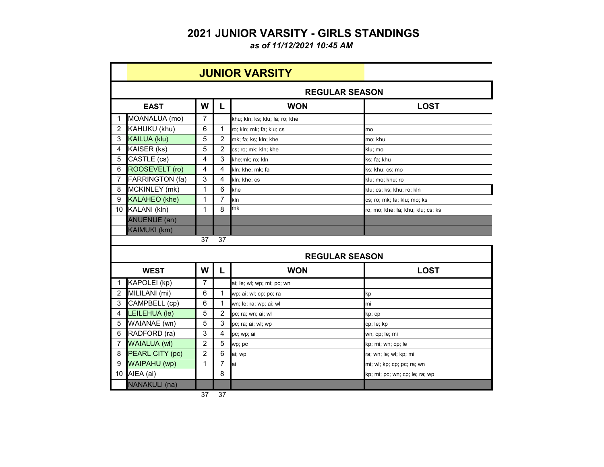### **2021 JUNIOR VARSITY - GIRLS STANDINGS**

*as of 11/12/2021 10:45 AM*

|                |                        |                |                 | <b>JUNIOR VARSITY</b>          |                                   |
|----------------|------------------------|----------------|-----------------|--------------------------------|-----------------------------------|
|                |                        |                |                 | <b>REGULAR SEASON</b>          |                                   |
|                | <b>EAST</b>            | W              | L               | <b>WON</b>                     | <b>LOST</b>                       |
| $\mathbf{1}$   | MOANALUA (mo)          | $\overline{7}$ |                 | khu; kln; ks; klu; fa; ro; khe |                                   |
| $\overline{2}$ | KAHUKU (khu)           | 6              | 1               | ro; kln; mk; fa; klu; cs       | mo                                |
| 3              | <b>KAILUA (klu)</b>    | 5              | $\overline{c}$  | mk; fa; ks; kln; khe           | mo: khu                           |
| 4              | KAISER (ks)            | 5              | $\overline{2}$  | cs; ro; mk; kln; khe           | klu; mo                           |
| 5              | CASTLE (cs)            | 4              | 3               | khe;mk; ro; kln                | ks; fa; khu                       |
| 6              | ROOSEVELT (ro)         | 4              | 4               | kln; khe; mk; fa               | ks; khu; cs; mo                   |
| $\overline{7}$ | <b>FARRINGTON (fa)</b> | 3              | 4               | kln; khe; cs                   | klu; mo; khu; ro                  |
| 8              | MCKINLEY (mk)          | $\mathbf{1}$   | $6\phantom{1}6$ | khe                            | klu; cs; ks; khu; ro; kln         |
| 9              | <b>KALAHEO</b> (khe)   | $\mathbf{1}$   | $\overline{7}$  | kln                            | cs; ro; mk; fa; klu; mo; ks       |
| 10             | KALANI (kln)           | $\mathbf 1$    | 8               | mk                             | ro; mo; khe; fa; khu; klu; cs; ks |
|                | <b>ANUENUE</b> (an)    |                |                 |                                |                                   |
|                | <b>KAIMUKI (km)</b>    |                |                 |                                |                                   |
|                |                        | 37             | 37              |                                |                                   |
|                |                        |                |                 | <b>REGULAR SEASON</b>          |                                   |
|                | <b>WEST</b>            | W              | L               | <b>WON</b>                     | <b>LOST</b>                       |
| $\mathbf{1}$   | KAPOLEI (kp)           | 7              |                 | ai; le; wl; wp; mi; pc; wn     |                                   |
| $\overline{2}$ | MILILANI (mi)          | 6              | 1               | wp; ai; wl; cp; pc; ra         | kp                                |
| 3              | CAMPBELL (cp)          | 6              | 1               | wn; le; ra; wp; ai; wl         | mi                                |
| 4              | LEILEHUA (le)          | 5              | $\overline{c}$  | pc; ra; wn; ai; wl             | kp; cp                            |
| 5              | WAIANAE (wn)           | 5              | 3               | pc; ra; ai; wl; wp             | cp; le; kp                        |
| 6              | RADFORD (ra)           | 3              | 4               | pc; wp; ai                     | wn; cp; le; mi                    |
| $\overline{7}$ | <b>WAIALUA (wl)</b>    | $\overline{c}$ | 5               | wp; pc                         | kp; mi; wn; cp; le                |
| 8              | PEARL CITY (pc)        | $\overline{2}$ | 6               | ai; wp                         | ra; wn; le; wl; kp; mi            |
| 9              | <b>WAIPAHU (wp)</b>    | 1              | 7               | ai                             | mi; wl; kp; cp; pc; ra; wn        |
| 10             | AIEA (ai)              |                | 8               |                                | kp; mi; pc; wn; cp; le; ra; wp    |
|                |                        |                |                 |                                |                                   |

37